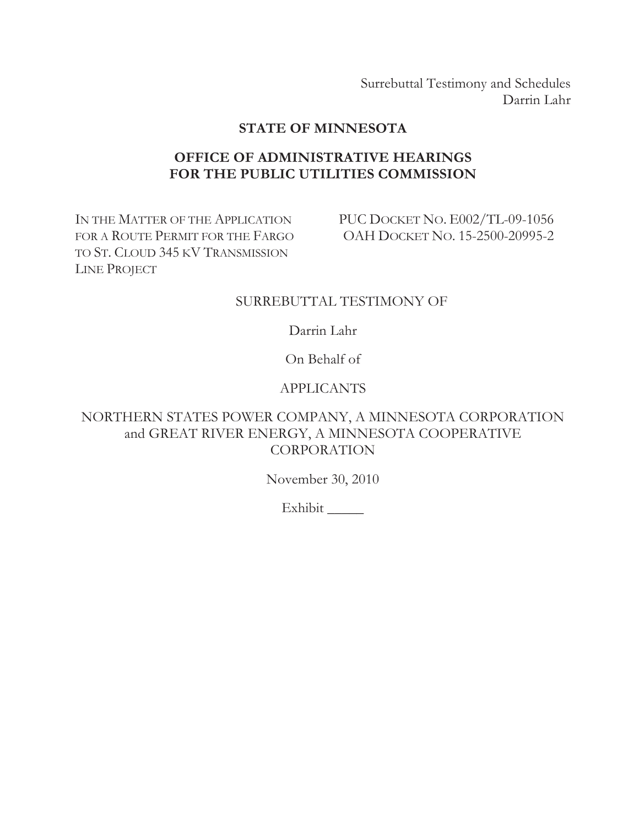Surrebuttal Testimony and Schedules Darrin Lahr

# **STATE OF MINNESOTA**

# **OFFICE OF ADMINISTRATIVE HEARINGS FOR THE PUBLIC UTILITIES COMMISSION**

IN THE MATTER OF THE APPLICATION FOR A ROUTE PERMIT FOR THE FARGO TO ST. CLOUD 345 KV TRANSMISSION LINE PROJECT

PUC DOCKET NO. E002/TL-09-1056 OAH DOCKET NO. 15-2500-20995-2

### SURREBUTTAL TESTIMONY OF

Darrin Lahr

On Behalf of

# APPLICANTS

# NORTHERN STATES POWER COMPANY, A MINNESOTA CORPORATION and GREAT RIVER ENERGY, A MINNESOTA COOPERATIVE CORPORATION

November 30, 2010

Exhibit \_\_\_\_\_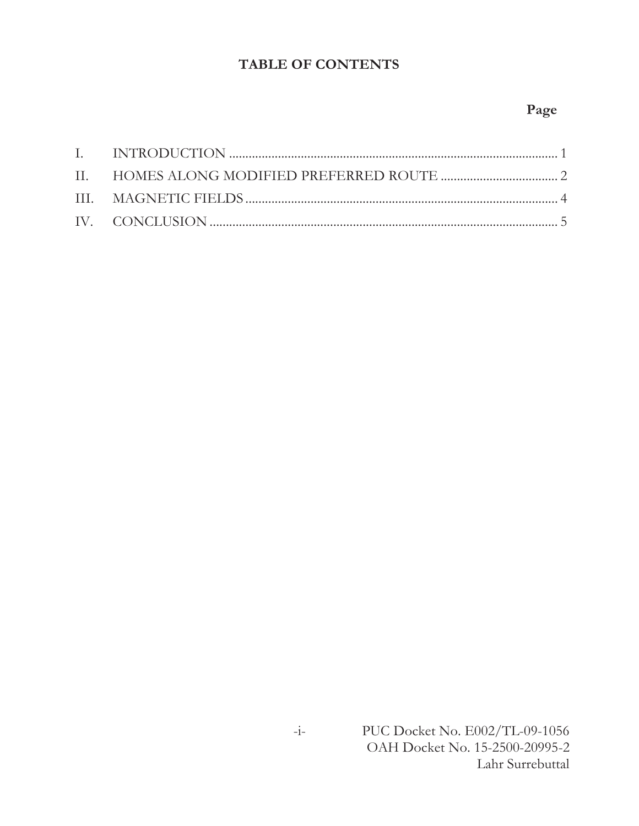# **TABLE OF CONTENTS**

# **Page**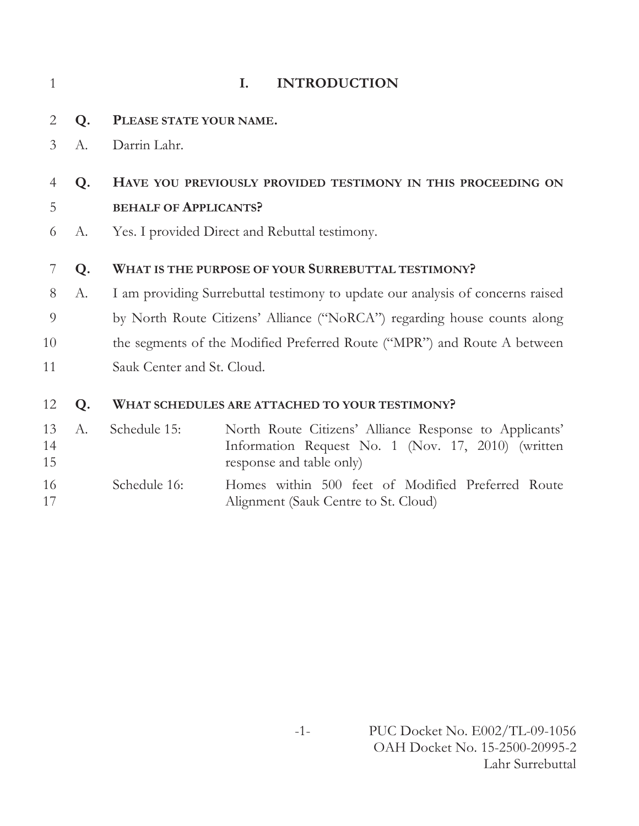| 1              |       |                              | <b>INTRODUCTION</b><br>Ι.                                                                                                                |
|----------------|-------|------------------------------|------------------------------------------------------------------------------------------------------------------------------------------|
| 2              | Q.    | PLEASE STATE YOUR NAME.      |                                                                                                                                          |
| 3              | A.    | Darrin Lahr.                 |                                                                                                                                          |
| 4              | Q.    |                              | HAVE YOU PREVIOUSLY PROVIDED TESTIMONY IN THIS PROCEEDING ON                                                                             |
| 5              |       | <b>BEHALF OF APPLICANTS?</b> |                                                                                                                                          |
| 6              | A.    |                              | Yes. I provided Direct and Rebuttal testimony.                                                                                           |
| 7              | Q.    |                              | WHAT IS THE PURPOSE OF YOUR SURREBUTTAL TESTIMONY?                                                                                       |
| 8              | A.    |                              | I am providing Surrebuttal testimony to update our analysis of concerns raised                                                           |
| 9              |       |                              | by North Route Citizens' Alliance ("NoRCA") regarding house counts along                                                                 |
| 10             |       |                              | the segments of the Modified Preferred Route ("MPR") and Route A between                                                                 |
| 11             |       | Sauk Center and St. Cloud.   |                                                                                                                                          |
| 12             | Q.    |                              | WHAT SCHEDULES ARE ATTACHED TO YOUR TESTIMONY?                                                                                           |
| 13<br>14<br>15 | $A$ . | Schedule 15:                 | North Route Citizens' Alliance Response to Applicants'<br>Information Request No. 1 (Nov. 17, 2010) (written<br>response and table only) |
| 16<br>17       |       | Schedule 16:                 | Homes within 500 feet of Modified Preferred Route<br>Alignment (Sauk Centre to St. Cloud)                                                |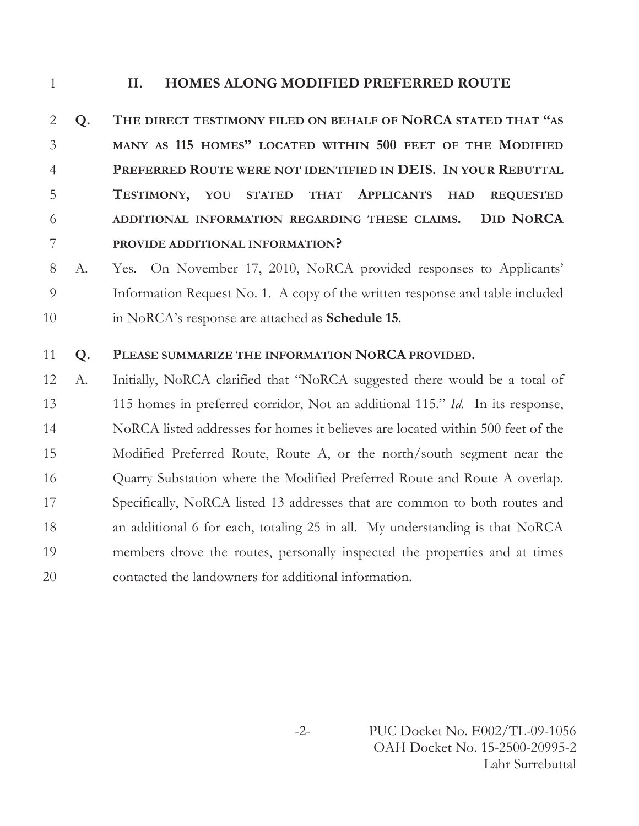# **II. HOMES ALONG MODIFIED PREFERRED ROUTE**

 **Q. THE DIRECT TESTIMONY FILED ON BEHALF OF NORCA STATED THAT "AS MANY AS 115 HOMES" LOCATED WITHIN 500 FEET OF THE MODIFIED PREFERRED ROUTE WERE NOT IDENTIFIED IN DEIS. IN YOUR REBUTTAL TESTIMONY, YOU STATED THAT APPLICANTS HAD REQUESTED ADDITIONAL INFORMATION REGARDING THESE CLAIMS. DID NORCA PROVIDE ADDITIONAL INFORMATION?** 

 A. Yes. On November 17, 2010, NoRCA provided responses to Applicants' Information Request No. 1. A copy of the written response and table included in NoRCA's response are attached as **Schedule 15**.

#### **Q. PLEASE SUMMARIZE THE INFORMATION NORCA PROVIDED.**

 A. Initially, NoRCA clarified that "NoRCA suggested there would be a total of 115 homes in preferred corridor, Not an additional 115." *Id.* In its response, NoRCA listed addresses for homes it believes are located within 500 feet of the Modified Preferred Route, Route A, or the north/south segment near the 16 Cuarry Substation where the Modified Preferred Route and Route A overlap. Specifically, NoRCA listed 13 addresses that are common to both routes and an additional 6 for each, totaling 25 in all. My understanding is that NoRCA members drove the routes, personally inspected the properties and at times contacted the landowners for additional information.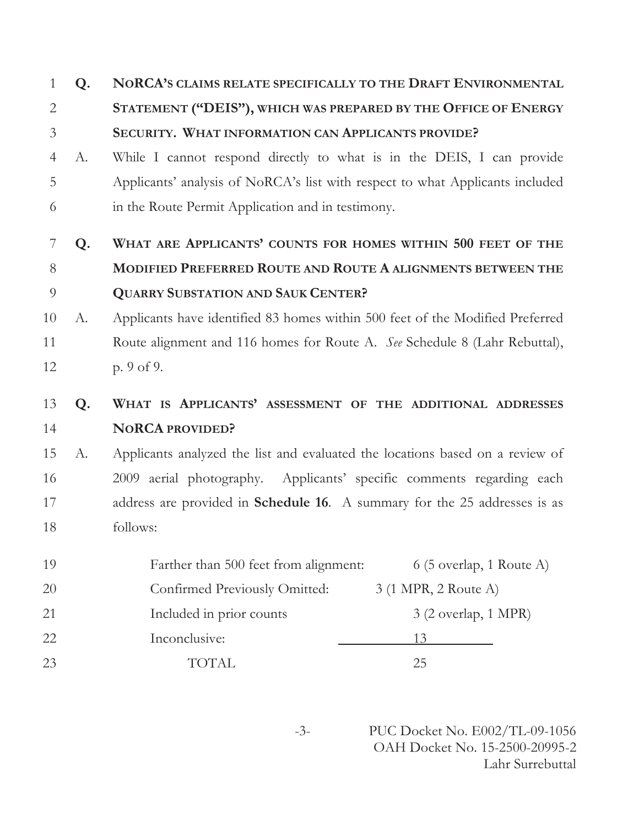# **Q. NORCA'S CLAIMS RELATE SPECIFICALLY TO THE DRAFT ENVIRONMENTAL STATEMENT ("DEIS"), WHICH WAS PREPARED BY THE OFFICE OF ENERGY SECURITY. WHAT INFORMATION CAN APPLICANTS PROVIDE?**

 A. While I cannot respond directly to what is in the DEIS, I can provide Applicants' analysis of NoRCA's list with respect to what Applicants included in the Route Permit Application and in testimony.

# **Q. WHAT ARE APPLICANTS' COUNTS FOR HOMES WITHIN 500 FEET OF THE MODIFIED PREFERRED ROUTE AND ROUTE A ALIGNMENTS BETWEEN THE QUARRY SUBSTATION AND SAUK CENTER?**

 A. Applicants have identified 83 homes within 500 feet of the Modified Preferred Route alignment and 116 homes for Route A. *See* Schedule 8 (Lahr Rebuttal), p. 9 of 9.

# **Q. WHAT IS APPLICANTS' ASSESSMENT OF THE ADDITIONAL ADDRESSES NORCA PROVIDED?**

 A. Applicants analyzed the list and evaluated the locations based on a review of 2009 aerial photography. Applicants' specific comments regarding each address are provided in **Schedule 16**. A summary for the 25 addresses is as follows:

| 19        | Farther than 500 feet from alignment: | $6(5 \text{ overlap}, 1 \text{ Route A})$ |
|-----------|---------------------------------------|-------------------------------------------|
| <b>20</b> | Confirmed Previously Omitted:         | 3 (1 MPR, 2 Route A)                      |
| 21        | Included in prior counts              | $3(2 \text{ overlap}, 1 \text{ MPR})$     |
| 22        | Inconclusive:                         |                                           |
| 23        | TOTAL.                                | 25                                        |

-3- PUC Docket No. E002/TL-09-1056 OAH Docket No. 15-2500-20995-2 Lahr Surrebuttal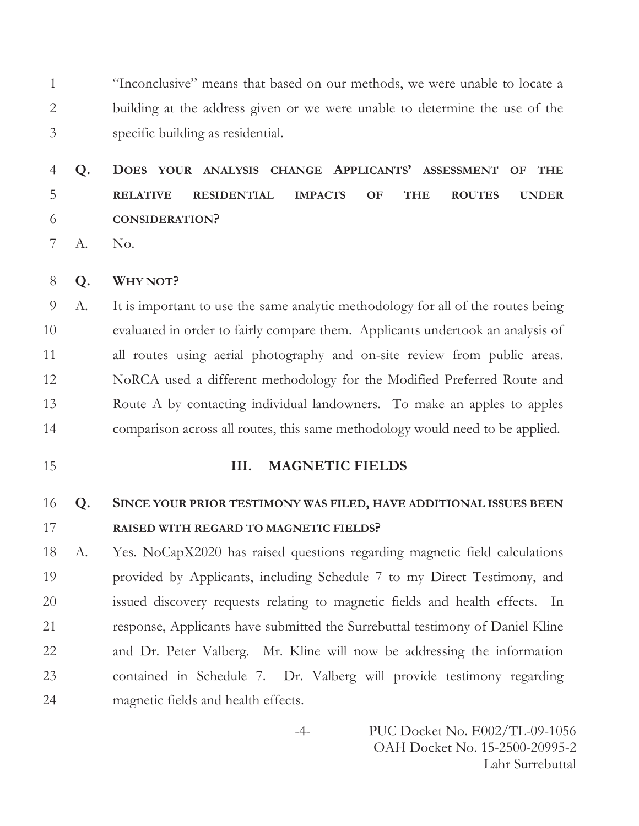"Inconclusive" means that based on our methods, we were unable to locate a building at the address given or we were unable to determine the use of the specific building as residential.

# **Q. DOES YOUR ANALYSIS CHANGE APPLICANTS' ASSESSMENT OF THE RELATIVE RESIDENTIAL IMPACTS OF THE ROUTES UNDER CONSIDERATION?**

A. No.

**Q. WHY NOT?** 

 A. It is important to use the same analytic methodology for all of the routes being evaluated in order to fairly compare them. Applicants undertook an analysis of all routes using aerial photography and on-site review from public areas. NoRCA used a different methodology for the Modified Preferred Route and Route A by contacting individual landowners. To make an apples to apples comparison across all routes, this same methodology would need to be applied.

### **III. MAGNETIC FIELDS**

# **Q. SINCE YOUR PRIOR TESTIMONY WAS FILED, HAVE ADDITIONAL ISSUES BEEN RAISED WITH REGARD TO MAGNETIC FIELDS?**

 A. Yes. NoCapX2020 has raised questions regarding magnetic field calculations provided by Applicants, including Schedule 7 to my Direct Testimony, and issued discovery requests relating to magnetic fields and health effects. In response, Applicants have submitted the Surrebuttal testimony of Daniel Kline and Dr. Peter Valberg. Mr. Kline will now be addressing the information contained in Schedule 7. Dr. Valberg will provide testimony regarding magnetic fields and health effects.

> -4- PUC Docket No. E002/TL-09-1056 OAH Docket No. 15-2500-20995-2 Lahr Surrebuttal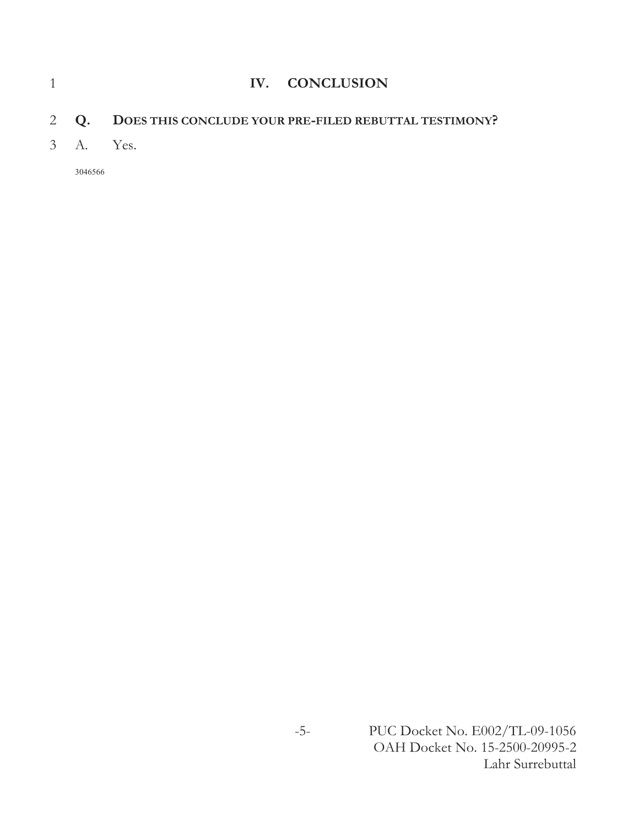|  | IV. CONCLUSION                                             |
|--|------------------------------------------------------------|
|  | 2 Q. DOES THIS CONCLUDE YOUR PRE-FILED REBUTTAL TESTIMONY? |
|  | 3 A. Yes.                                                  |
|  |                                                            |

3046566

-5- PUC Docket No. E002/TL-09-1056 OAH Docket No. 15-2500-20995-2 Lahr Surrebuttal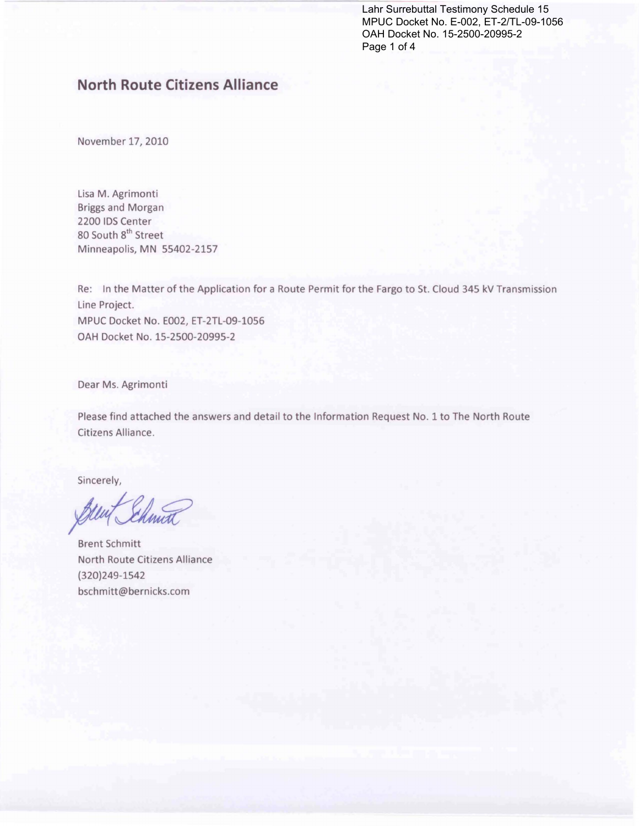Lahr Surrebuttal Testimony Schedule 15 MPUC Docket No. E-002, ET-2/TL-09-1056 OAH Docket No. 15-2500-20995-2 Page 1 of 4

# **North Route Citizens Alliance**

November 17, 2010

Lisa M. Agrimonti Briggs and Morgan 2200 IDS Center 80 South 8<sup>th</sup> Street Minneapolis, MN 55402-2157

Re: In the Matter of the Application for a Route Permit for the Fargo to St. Cloud 345 kV Transmission Line Project. MPUC Docket No. E002, ET-2TL-09-1056 OAH Docket No. 15-2500-20995-2

Dear Ms. Agrimonti

Please find attached the answers and detail to the Information Request No. 1 to The North Route Citizens Alliance.

Sincerely,

Brent Schmitt North Route Citizens Alliance (320)249-1542 bschmitt@bernicks.com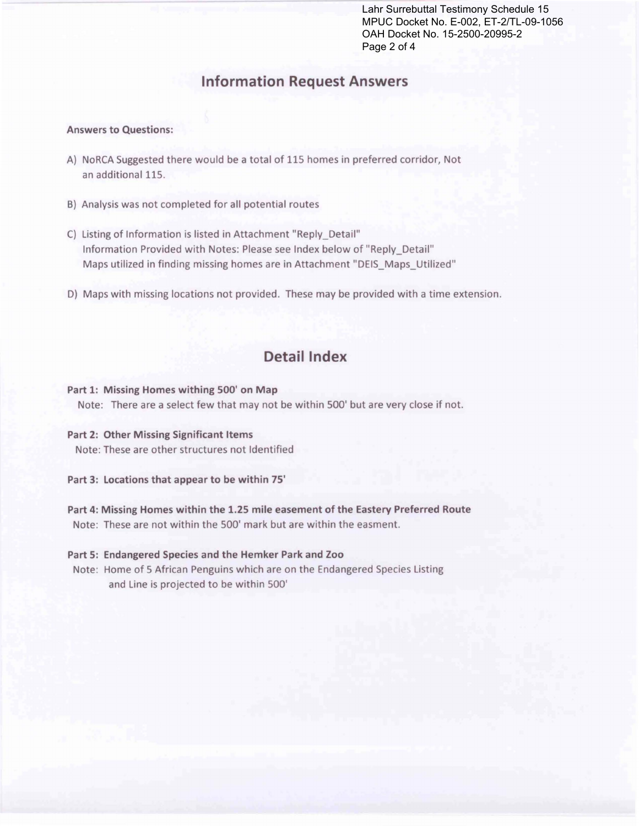Lahr Surrebuttal Testimony Schedule 15 MPUC Docket No. E-002, ET-2/TL-09-1056 OAH Docket No. 15-2500-20995-2 Page 2 of 4

# **Information Request Answers**

#### Answers to Questions:

- A) NoRCA Suggested there would be a total of 115 homes in preferred corridor, Not an additional 115.
- 8) Analysis was not completed for all potential routes
- C) Listing of Information is listed in Attachment "Reply Detail" Information Provided with Notes: Please see Index below of "Reply\_Detail" Maps utilized in finding missing homes are in Attachment "DEIS\_Maps\_Utilized"
- D) Maps with missing locations not provided. These may be provided with a time extension.

# Detail Index

#### Part 1: Missing Homes withing 500' on Map

Note: There are a select few that may not be within 500' but are very close if not.

#### Part 2: Other Missing Significant Items

Note: These are other structures not Identified

Part 3: locations that appear to be within 75'

Part 4: Missing Homes within the 1.25 mile easement of the Eastery Preferred Route Note: These are not within the 500' mark but are within the easment.

#### Part 5: Endangered Species and the Hemker Park and Zoo

Note: Home of 5 African Penguins which are on the Endangered Species Listing and Line is projected to be within 500'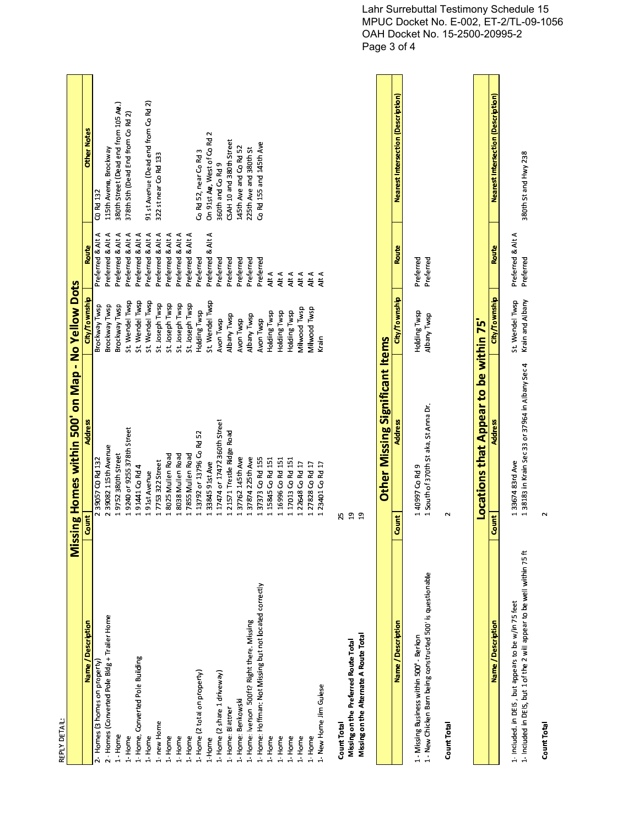| í |
|---|
|   |
|   |
|   |
|   |
|   |
|   |
|   |
| r |
|   |
|   |
|   |

| EPLY DETAIL:                                         |                                                   |                 |                   |                                           |
|------------------------------------------------------|---------------------------------------------------|-----------------|-------------------|-------------------------------------------|
|                                                      | Missing Homes within 500' on Map - No Yellow Dots |                 |                   |                                           |
| Name / Description                                   | <b>Address</b><br>Count                           | City/Township   | <b>Route</b>      | <b>Other Notes</b>                        |
| Homes (3 homes on property)                          | 39057 CO Rd 132                                   | Brockway Twsp   | Preferred & Alt A | CO Rd 132                                 |
| - Homes (Converted Pole Bidg + Trailer Home          | 39082 115th Avenue                                | Brockway Twsp   | Preferred & Alt A | 115th Avena, Brockway                     |
| - Home                                               | 9752 380th Street                                 | Brockway Twsp   | Preferred & Alt A | 380th Street (Dead end from 105 Ae.)      |
| Home                                                 | 9240 or 9255 378th Street                         | St. Wendel Twsp | Preferred & Alt A | 378th Sth (Dead End from Co Rd 2)         |
| Home, Converted Pole Building                        | 91441 Co Rd 4                                     | St. Wendel Twsp | Preferred & Alt A |                                           |
| Home                                                 | 91st Avenue                                       | St. Wendel Twsp | Preferred & Alt A | 91 st Avenue (Dead end from Co Rd 2)      |
| new Home                                             | 7753 322 Street                                   | St. Joseph Twsp | Preferred & Alt A | 322 st near Co Rd 133                     |
| Home                                                 | 8025 Mullen Road                                  | St. Joseph Twsp | Preferred & Alt A |                                           |
| Home                                                 | 8038 Mullen Road                                  | St. Joseph Twsp | Preferred & Alt A |                                           |
| Home                                                 | 7855 Mullen Road                                  | St. Joseph Twsp | Preferred & Alt A |                                           |
| Home (2 total on property)                           | 13792 or 13796 Co Rd 52                           | Holding Twsp    | Preferred         | Co Rd 52, near Co Rd 3                    |
| Home                                                 | 3384591st Ave                                     | St. Wendel Twsp | Preferred & Alt A | On 91st Ae, West of Co Rd 2               |
| Home (2 share 1 driveway)                            | 17474 or 17472 360th Street                       | Avon Twsp       | Preferred         | 360th and Co Rd 9                         |
| Home: Blattner                                       | 21571 Trestle Ridge Road                          | Albany Twsp     | Preferred         | CSAH 10 and 380th Street                  |
| Home: Benkowski                                      | 37762 145th Ave                                   | Avon Twsp       | Preferred         | 145th Ave and Co Rd 52                    |
| Home: Iverson 500ft? Right there. Missing            | 37874 225th Ave                                   | Albany Twsp     | Preferred         | 225th Ave and 380th St                    |
| Home: Hoffman: Not Missing but not located correctly | 37373 Co Rd 155                                   | Avon Twsp       | Preferred         | Co Rd 155 and 145th Ave                   |
| Home                                                 | 15845 Co Rd 151                                   | Holding Twsp    | Alt A             |                                           |
| Home                                                 | 16996 Co Rd 151                                   | Holding Twsp    | Alt A             |                                           |
| Home                                                 | 1 17013 Co Rd 151                                 | Holding Twsp    | Alt A             |                                           |
| Home                                                 | 1 22648 Co Rd 17                                  | Milwood Twsp    | Alt A             |                                           |
| Home                                                 | 1 27828 Co Rd 17                                  | Milwood Twsp    | Alt A             |                                           |
| New Home Jim Guiese                                  | 1 23401 Co Rd 17                                  | Krain           | Alt A             |                                           |
| Count Total                                          | 25                                                |                 |                   |                                           |
| Missing on the Preferred Route Total                 | គ្ន                                               |                 |                   |                                           |
| Missing on the Alternate A Route Total               | ဍ                                                 |                 |                   |                                           |
|                                                      | <b>Other Missing Significant Items</b>            |                 |                   |                                           |
| Name / Description                                   | Address<br>Count                                  | City/Township   | <b>Route</b>      | <b>Nearest Intersection (Description)</b> |
|                                                      |                                                   |                 |                   |                                           |

| Name / Description                                                      | <b>Address</b><br>Count                                                   | City/Township                        | Route        | <b>Nearest Intersection (Description)</b> |
|-------------------------------------------------------------------------|---------------------------------------------------------------------------|--------------------------------------|--------------|-------------------------------------------|
| 1 - Missing Business within 500 - Berkon                                | 40997 Co Rd 9                                                             | Holding Twsp                         | Preferred    |                                           |
| 1 - New Chicken Barn being constructed 500' is questionable             | South of 370th St aka. St Anna Dr.                                        | Albany Twsp                          | Preferred    |                                           |
| Count Total                                                             |                                                                           |                                      |              |                                           |
|                                                                         |                                                                           |                                      |              |                                           |
|                                                                         | <b>cations that Appear to be within 75'</b>                               |                                      |              |                                           |
| Name / Description                                                      | <b>Address</b><br>Count                                                   | City/Township                        | <b>Route</b> | <b>Nearest Intersection (Description)</b> |
| 1- Included. in DEIS, but appears to be w/in 75 feet                    | 3367483rd Ave                                                             | St. Wendel Twsp<br>Preferred & Alt A |              |                                           |
| 1- Included in DEIS, but 1 of the 2 will appear to be well within 75 ft | 38183 in Krain Sec 33 or 37964 in Albany Sec 4 Krain and Albany Preferred |                                      |              | 380th St and Hwy 238                      |

|                                                                        | cations that Appear to be within 75'<br><u>ğ</u>                          |                                      |       |                                    |
|------------------------------------------------------------------------|---------------------------------------------------------------------------|--------------------------------------|-------|------------------------------------|
| Name / Description                                                     | <b>Address</b><br>Count                                                   | City/Township                        | Route | Nearest Intersection (Description) |
| - Included. in DEIS, but appears to be w/in 75 feet                    | 3367483rd Ave                                                             | St. Wendel Twsp<br>Preferred & Alt A |       |                                    |
| - Included in DEIS, but 1 of the 2 will appear to be well within 75 ft | 83183 in Krain Sec 33 or 37964 in Albany Sec 4 Krain and Albany Preferred |                                      |       | 380th St and Hwy 238               |
| Count Total                                                            |                                                                           |                                      |       |                                    |

ount Total<br>2<br>2

Count Total

Lahr Surrebuttal Testimony Schedule 15 MPUC Docket No. E-002, ET-2/TL-09-1056 OAH Docket No. 15-2500-20995-2 Page 3 of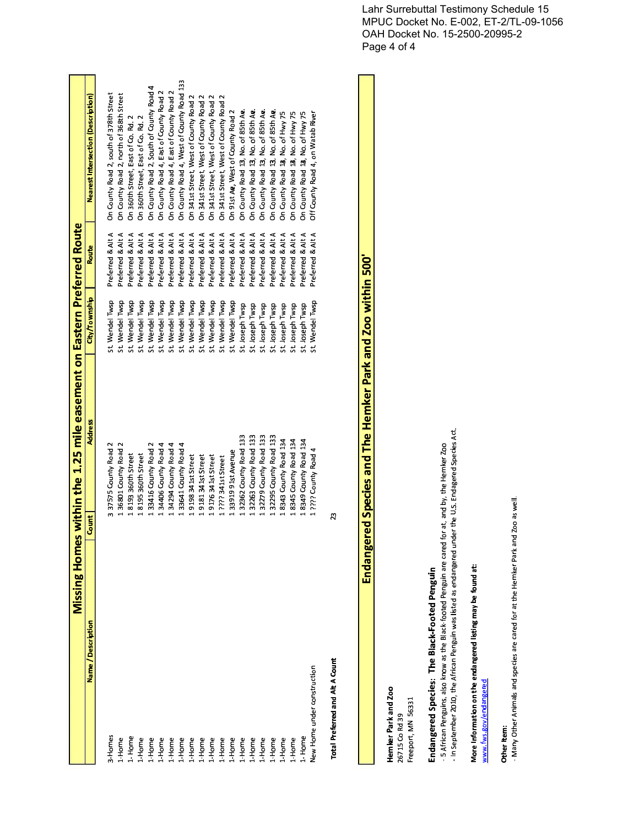|                                        | <b>Missing Home</b> | es within the 1.25 mile easement on Eastern Preferred Route |                                    |                   |                                           |
|----------------------------------------|---------------------|-------------------------------------------------------------|------------------------------------|-------------------|-------------------------------------------|
| Name / Description                     | Count               | Address                                                     | City/Township                      | Route             | <b>Nearest Intersection (Description)</b> |
|                                        |                     |                                                             |                                    |                   |                                           |
| 3-Homes                                |                     | 3 37575 County Road 2                                       | St. Wendel Twsp                    | Preferred & Alt A | On County Road 2, south of 378th Street   |
| 1-Home                                 |                     | 1 36801 County Road 2                                       | St. Wendel Twsp                    | Preferred & Alt A | On County Road 2, north of 368th Street   |
| 1-Home                                 |                     | 18193360th Street                                           | St. Wendel Twsp                    | Preferred & Alt A | On 360th Street, East of Co. Rd. 2        |
| 1-Home                                 |                     | 18195360th Street                                           | St. Wendel Twsp                    | Preferred & Alt A | On 360th Street, East of Co. Rd. 2        |
| $1 -$ Home                             |                     | 133416 County Road 2                                        | St. Wendel Twsp                    | Preferred & Alt A | On County Road 2, South of County Road 4  |
| 1-Home                                 |                     | 34406 County Road 4                                         | St. Wendel Twsp                    | Preferred & Alt A | On County Road 4, East of County Road 2   |
|                                        |                     | 34294 County Road 4                                         | St. Wendel Twsp                    | Preferred & Alt A | On County Road 4, East of County Road 2   |
|                                        |                     | 133641 County Road 4                                        | St. Wendel Twsp                    | Preferred & Alt A | On County Road 4, West of County Road 133 |
| $1$ -Home<br>$1$ -Home<br>$1$ -Home    |                     | 9198 341st Street                                           | St. Wendel Twsp                    | Preferred & Alt A | On 341st Street, West of County Road 2    |
| $1 -$ Home                             |                     | 9181 341st Street                                           | St. Wendel Twsp                    | Preferred & Alt A | On 341st Street, West of County Road 2    |
| $L$ -Home                              |                     | 9176 341st Street                                           | St. Wendel Twsp                    | Preferred & Alt A | On 341st Street, West of County Road 2    |
| 1-Home                                 |                     | 1 7777 341st Street                                         | St. Wendel Twsp                    | Preferred & Alt A | On 341st Street, West of County Road 2    |
| L-Home                                 |                     | 3391991st Avenue                                            | St. Wendel Twsp                    | Preferred & Alt A | On 91st Ae, West of County Road 2         |
| $1 -$ Home                             |                     | 32362 County Road 133                                       | St. Joseph Twsp                    | Preferred & Alt A | On County Road 13, No. of 85th Ae.        |
| 1-Home                                 |                     | 32263 County Road 133                                       | St. Joseph Twsp                    | Preferred & Alt A | On County Road 13, No. of 85th Ae.        |
| 1-Home                                 |                     | 1 32279 County Road 133                                     |                                    | Preferred & Alt A | On County Road 13, No. of 85th Ae.        |
| 1-Home                                 |                     | 32295 County Road 133                                       | St. Joseph Twsp<br>St. Joseph Twsp | Preferred & Alt A | On County Road 13, No. of 85th Ae.        |
| 1-Home                                 |                     | 8343 County Road 134                                        | St. Joseph Twsp                    | Preferred & Alt A | On County Road 13, No. of Hwy 75          |
| 1-Home                                 |                     | 1 8345 County Road 134                                      | St. Joseph Twsp                    | Preferred & Alt A | On County Road 18, No. of Hwy 75          |
| 1-Home                                 |                     | 1 8349 County Road 134                                      | St. Joseph Twsp                    | Preferred & Alt A | On County Road 18, No. of Hwy 75          |
| New Home under construction            |                     | 1 ???? County Road 4                                        | St. Wendel Twsp                    | Preferred & Alt A | Off County Road 4, on Watab River         |
| <b>Total Preferred and Alt A Count</b> | 23                  |                                                             |                                    |                   |                                           |
|                                        |                     |                                                             |                                    |                   |                                           |

**I** 

Endangered Species and The Hemker Park and Zoo within 500' Endangered Species and The Hemker Park and Zoo within 500'<br>Endangered Species and The Hemker Park and Zoo within 500' Total Preferred and Alt A Count<br> **Endangered** !

**Hemker Park and Zoo**<br>26715 Co Rd 39<br>Freeport, MN 56331

# Endangered Species: The Black-Footed Penguin

/((.&0/H NS5O++9 # 5?E/;>-ndangered Species: The Black-Footed Pengui<br>5 African Penguins, also know as the Black-footed Penguin<br>In September 2010, the African Penguin was listed as enda<br>lore Information on the endangered listing may be found enguins, also know as the Black-footed P enguin are cared for at, and by, the Hemker Zo<br>as endangered under the U.S. Endagered Specie<br>**found at:** enguin was listed as endangered under the U.S. Endagered Species Act<br>.

# - In September 2010, the African P<br>More Information on the endange W[Z

X

VX¨
Z©

www.fws.gov/endangere<br>Other Item:<br>- Many Other Animals an - Many Other Animals and species are cared for at the Hemker P rk and Zoo as we

Lahr Surrebuttal Testimony Schedule 15 MPUC Docket No. E-002, ET-2/TL-09-1056 OAH Docket No. 15-2500-20995-2 Page 4 of 4